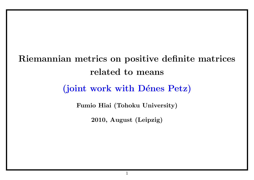# **Riemannian metrics on positive definite matrices related to means**

# (joint work with Dénes Petz)

**Fumio Hiai (Tohoku University)**

**2010, August (Leipzig)**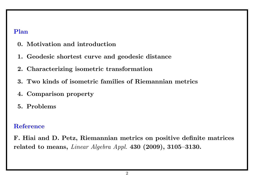#### **Plan**

- **0. Motivation and introduction**
- **1. Geodesic shortest curve and geodesic distance**
- **2. Characterizing isometric transformation**
- **3. Two kinds of isometric families of Riemannian metrics**
- **4. Comparison property**
- **5. Problems**

### **Reference**

**F. Hiai and D. Petz, Riemannian metrics on positive definite matrices related to means,** *Linear Algebra Appl.* **430 (2009), 3105–3130.**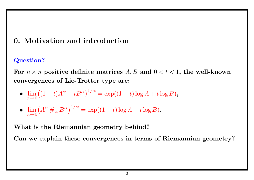## **0. Motivation and introduction**

## **Question?**

For  $n \times n$  positive definite matrices  $A, B$  and  $0 < t < 1$ , the well-known **convergences of Lie-Trotter type are:**

•  $\lim_{\alpha \to 0}$ *α→*0  $((1-t)A^{\alpha} + tB^{\alpha})^{1/\alpha} = \exp((1-t)\log A + t\log B),$ 

$$
\bullet \ \lim_{\alpha \to 0} \left( A^{\alpha} \#_{\alpha} B^{\alpha} \right)^{1/\alpha} = \exp((1-t) \log A + t \log B).
$$

**What is the Riemannian geometry behind?**

**Can we explain these convergences in terms of Riemannian geometry?**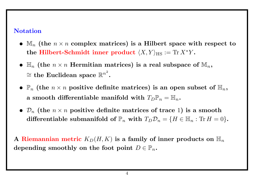### **Notation**

- *•* M*<sup>n</sup>* **(the** *n × n* **complex matrices) is a Hilbert space with respect to**  $\mathbf{t}$  **he Hilbert-Schmidt inner product**  $\langle X, Y \rangle_{\mathrm{HS}} := \mathrm{Tr}\, X^* Y$  .
- $\mathbb{H}_n$  (the  $n \times n$  Hermitian matrices) is a real subspace of  $\mathbb{M}_n$ ,  $\cong$  the Euclidean space  $\mathbb{R}^{n^2}.$
- $\mathbb{P}_n$  (the  $n \times n$  positive definite matrices) is an open subset of  $\mathbb{H}_n$ , **a** smooth differentiable manifold with  $T_{D}P_{n} = H_{n}$ .
- $\mathcal{D}_n$  (the  $n \times n$  positive definite matrices of trace 1) is a smooth **differentiable submanifold of**  $\mathbb{P}_n$  with  $T_D \mathcal{D}_n = \{H \in \mathbb{H}_n : \text{Tr } H = 0\}$ .

**A Riemannian metric**  $K_D(H, K)$  is a family of inner products on  $\mathbb{H}_n$ depending smoothly on the foot point  $D \in \mathbb{P}_n$ .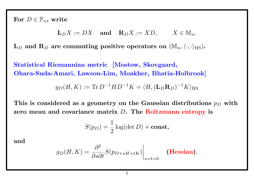For  $D \in \mathbb{P}_n$ , write

$$
\mathbf{L}_D X := DX \quad \text{and} \quad \mathbf{R}_D X := X D, \qquad X \in \mathbb{M}_n.
$$

 $\mathbf{L}_D$  and  $\mathbf{R}_D$  are commuting positive operators on  $(\mathbb{M}_n, \langle \cdot, \cdot \rangle_{\text{HS}})$ .

**Statistical Riemannian metric [Mostow, Skovgaard, Ohara-Suda-Amari, Lawson-Lim, Moakher, Bhatia-Holbrook]**

$$
g_D(H, K) := \text{Tr} \, D^{-1}HD^{-1}K = \langle H, (\mathbf{L}_D \mathbf{R}_D)^{-1}K \rangle_{\text{HS}}
$$

**This is considered as a geometry on the Gaussian distributions** *p<sup>D</sup>* **with zero mean and covariance matrix** *D***. The Boltzmann entropy is**

$$
S(p_D) = \frac{1}{2}\log(\det D) + \text{const.}
$$

**and**

$$
g_D(H, K) = \frac{\partial^2}{\partial s \partial t} S(p_{D+sH+tK}) \Big|_{s=t=0}
$$
 (Hessian).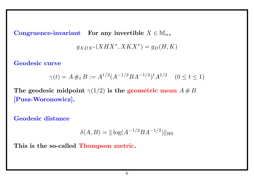**Congruence-invariant For any invertible**  $X \in M_n$ ,

$$
g_{XDX^*}(XHX^*, \allowbreak XKX^*) = g_D(H, K)
$$

**Geodesic curve**

$$
\gamma(t) = A \#_t B := A^{1/2} (A^{-1/2} B A^{-1/2})^t A^{1/2} \quad (0 \le t \le 1)
$$

The geodesic midpoint  $\gamma(1/2)$  is the geometric mean  $A \# B$ **[Pusz-Woronowicz].**

**Geodesic distance**

$$
\delta(A, B) = || \log(A^{-1/2} B A^{-1/2}) ||_{\text{HS}}
$$

**This is the so-called Thompson metric.**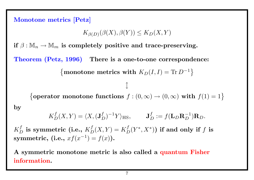**Monotone metrics [Petz]**  $K_{\beta(D)}(\beta(X), \beta(Y)) \leq K_D(X, Y)$ **if**  $\beta : \mathbb{M}_n \to \mathbb{M}_m$  is completely positive and trace-preserving. **Theorem (Petz, 1996) There is a one-to-one correspondence:** {monotone metrics with  $K_D(I, I) = \text{Tr } D^{-1}$ } *↕* {**operator monotone functions**  $f : (0, \infty) \to (0, \infty)$  with  $f(1) = 1$ } **by**  $K_D^f(X,Y) = \langle X, (\mathbf{J}_D^f)^{-1}Y \rangle_{\text{HS}}, \qquad \mathbf{J}_D^f := f(\mathbf{L}_D \mathbf{R}_D^{-1}) \mathbf{R}_D.$ 

 $K_D^f$  is symmetric (i.e.,  $K_D^f(X,Y) = K_D^f(Y^*,X^*)$ ) if and only if  $f$  is  $$ 

**A symmetric monotone metric is also called a quantum Fisher information.**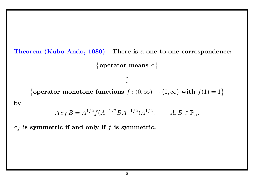**Theorem (Kubo-Ando, 1980) There is a one-to-one correspondence:**

{ **operator means** *σ* }

{**operator monotone functions**  $f : (0, \infty) \to (0, \infty)$  with  $f(1) = 1$ }

*↕*

**by**

$$
A \sigma_f B = A^{1/2} f(A^{-1/2} B A^{-1/2}) A^{1/2}, \qquad A, B \in \mathbb{P}_n.
$$

*σ<sup>f</sup>* **is symmetric if and only if** *f* **is symmetric.**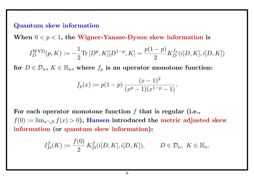#### **Quantum skew information**

When  $0 < p < 1$ , the Wigner-Yanase-Dyson skew information is

$$
I_D^{\text{WYD}}(p,K) := -\frac{1}{2} \text{Tr}\left[D^p, K\right][D^{1-p}, K] = \frac{p(1-p)}{2} K_D^{f_p}(i[D,K], i[D,K])
$$

for  $D \in \mathcal{D}_n$ ,  $K \in \mathbb{H}_n$ , where  $f_p$  is an operator monotone function:

$$
f_p(x) := p(1-p) \frac{(x-1)^2}{(x^p-1)(x^{1-p}-1)}.
$$

**For each operator monotone function** *f* **that is regular (i.e.,**  $f(0) := \lim_{x \searrow 0} f(x) > 0$ ), Hansen introduced the metric adjusted skew **information (or quantum skew information):**

$$
I_D^f(K) := \frac{f(0)}{2} K_D^f(i[D, K], i[D, K]), \qquad D \in \mathcal{D}_n, \ K \in \mathbb{H}_n.
$$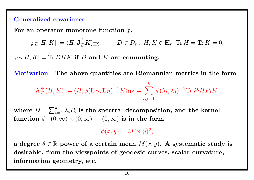#### **Generalized covariance**

**For an operator monotone function** *f***,**

 $\varphi_D[H,K] := \langle H,\mathbf{J}^f_L$  $D E/K$ <sub>*H*S</sub>*,*  $D \in \mathcal{D}_n$ *,*  $H, K \in \mathbb{H}_n$ ,  $\text{Tr } H = \text{Tr } K = 0$ *,* 

 $\varphi_D[H,K] = \text{Tr} DHK$  if *D* and *K* are commuting.

**Motivation The above quantities are Riemannian metrics in the form**

$$
K_D^{\phi}(H,K) := \langle H, \phi(\mathbf{L}_D, \mathbf{L}_R)^{-1} K \rangle_{\mathrm{HS}} = \sum_{i,j=1}^k \phi(\lambda_i, \lambda_j)^{-1} \mathrm{Tr} P_i H P_j K,
$$

where  $D = \sum_{i=1}^k \lambda_i P_i$  is the spectral decomposition, and the kernel **function**  $\phi : (0, \infty) \times (0, \infty) \rightarrow (0, \infty)$  is in the form

 $\phi(x, y) = M(x, y)$ <sup> $\theta$ </sup>,

**a** degree  $\theta \in \mathbb{R}$  power of a certain mean  $M(x, y)$ . A systematic study is **desirable, from the viewpoints of geodesic curves, scalar curvature, information geometry, etc.**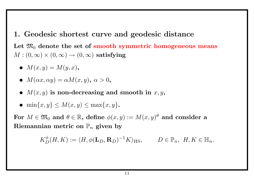**1. Geodesic shortest curve and geodesic distance** Let  $\mathfrak{M}_0$  denote the set of smooth symmetric homogeneous means  $M: (0, \infty) \times (0, \infty) \rightarrow (0, \infty)$  satisfying

•  $M(x, y) = M(y, x)$ ,

• 
$$
M(\alpha x, \alpha y) = \alpha M(x, y), \alpha > 0,
$$

•  $M(x, y)$  is non-decreasing and smooth in  $x, y$ ,

$$
\bullet \ \min\{x,y\} \le M(x,y) \le \max\{x,y\}.
$$

 $\textbf{For } M \in \mathfrak{M}_0 \textbf{ and } \theta \in \mathbb{R}, \textbf{ define } \phi(x,y) := M(x,y)^\theta \textbf{ and consider a }$  $\mathbf{Riemannian}$  metric on  $\mathbb{P}_n$  given by

$$
K_D^{\phi}(H,K) := \langle H, \phi(\mathbf{L}_D, \mathbf{R}_D)^{-1} K \rangle_{\text{HS}}, \qquad D \in \mathbb{P}_n, H, K \in \mathbb{H}_n.
$$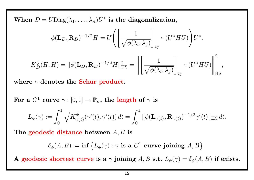$\mathbf{W}$ hen  $D = U \text{Diag}(\lambda_1, \ldots, \lambda_n) U^*$  is the diagonalization,

$$
\phi(\mathbf{L}_D, \mathbf{R}_D)^{-1/2} H = U \Bigg( \Bigg[ \frac{1}{\sqrt{\phi(\lambda_i, \lambda_j)}} \Bigg]_{ij} \circ (U^* H U) \Bigg) U^*,
$$

$$
K_D^{\phi}(H, H) = ||\phi(\mathbf{L}_D, \mathbf{R}_D)^{-1/2}H||_{\text{HS}}^2 = \left\| \left[ \frac{1}{\sqrt{\phi(\lambda_i, \lambda_j)}} \right]_{ij} \circ (U^* H U) \right\|_{\text{HS}}^2,
$$

**where** *◦* **denotes the Schur product.**

 $\mathbf{For\,\,a}\,\,C^1\,\,\mathbf{curve}\,\,\gamma:[0,1]\rightarrow\mathbb{P}_n, \text{ the \,\,length\,\,of\,\,}\gamma\,\,\mathbf{is}$ 

$$
L_{\phi}(\gamma) := \int_0^1 \sqrt{K_{\gamma(t)}^{\phi}(\gamma'(t), \gamma'(t))} dt = \int_0^1 \|\phi(\mathbf{L}_{\gamma(t)}, \mathbf{R}_{\gamma(t)})^{-1/2} \gamma'(t)\|_{\text{HS}} dt.
$$

**The geodesic distance between** *A, B* **is**

 $\delta_{\phi}(A, B) := \inf \{ L_{\phi}(\gamma) : \gamma \text{ is a } C^1 \text{ curve joining } A, B \}.$ 

**A geodesic shortest curve is a**  $\gamma$  **joining**  $A, B$  **s.t.**  $L_{\phi}(\gamma) = \delta_{\phi}(A, B)$  if exists.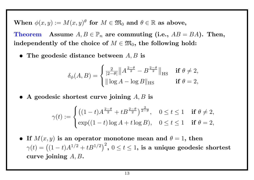$\mathbf{When}\ \phi(x,y):=M(x,y)^\theta\ \ \mathbf{for}\ \ M\in\mathfrak{M}_0\ \ \mathbf{and}\ \ \theta\in\mathbb{R}\ \ \mathbf{as}\ \ \mathbf{above},$ **Theorem Assume**  $A, B \in \mathbb{P}_n$  are commuting (i.e.,  $AB = BA$ ). Then, independently of the choice of  $M \in \mathfrak{M}_0$ , the following hold:

*•* **The geodesic distance between** *A, B* **is**

$$
\delta_{\phi}(A, B) = \begin{cases} \frac{2}{|2-\theta|} \|A^{\frac{2-\theta}{2}} - B^{\frac{2-\theta}{2}}\|_{\text{HS}} & \text{if } \theta \neq 2, \\ \|\log A - \log B\|_{\text{HS}} & \text{if } \theta = 2, \end{cases}
$$

*•* **A geodesic shortest curve joining** *A, B* **is**

$$
\gamma(t) := \begin{cases} \left( (1-t)A^{\frac{2-\theta}{2}} + tB^{\frac{2-\theta}{2}} \right)^{\frac{2}{2-\theta}}, & 0 \le t \le 1 & \text{if } \theta \neq 2, \\ \exp((1-t)\log A + t\log B), & 0 \le t \le 1 & \text{if } \theta = 2, \end{cases}
$$

• **If**  $M(x, y)$  is an operator monotone mean and  $\theta = 1$ , then  $\gamma(t) = \left((1-t)A^{1/2} + tB^{1/2}\right)^2,\ 0\le t\le 1,$  is a unique geodesic shortest **curve joining** *A, B***.**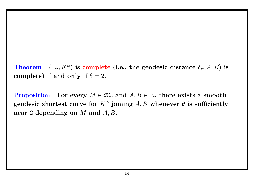$\bf Theorem \quad (\mathbb{P}_n,K^{\phi}) \text{ is complete (i.e., the geodesic distance }\delta_{\phi}(A,B) \text{ is }$ **complete)** if and only if  $\theta = 2$ .

 ${\bf Proposition ~~~ For~ every~} M \in \mathfrak{M}_0 \text{ and } A, B \in \mathbb{P}_n \text{ there exists a smooth }$  $\mathbf{geodesic}$  shortest curve for  $K^{\phi}$  joining  $A, B$  whenever  $\theta$  is sufficiently **near** 2 **depending on** *M* **and** *A, B***.**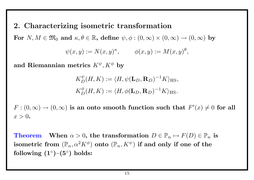## **2. Characterizing isometric transformation**

 $\mathbf{For} \,\, N,M \in \mathfrak{M}_0 \,\, \text{and} \,\, \kappa,\theta \in \mathbb{R}, \,\, \text{define} \,\, \psi,\phi:(0,\infty)\times (0,\infty) \rightarrow (0,\infty) \,\, \text{by}$ 

$$
\psi(x,y) := N(x,y)^{\kappa}, \qquad \phi(x,y) := M(x,y)^{\theta},
$$

 $\mathbf{A}$  **and Riemannian metrics**  $K^\psi, K^\phi$  by

$$
K_D^{\psi}(H, K) := \langle H, \psi(\mathbf{L}_D, \mathbf{R}_D)^{-1} K \rangle_{\text{HS}},
$$
  

$$
K_D^{\phi}(H, K) := \langle H, \phi(\mathbf{L}_D, \mathbf{R}_D)^{-1} K \rangle_{\text{HS}}.
$$

 $F:(0,\infty)\to (0,\infty)$  is an onto smooth function such that  $F'(x)\neq 0$  for all  $x > 0.$ 

**Theorem When**  $\alpha > 0$ , the transformation  $D \in \mathbb{P}_n \mapsto F(D) \in \mathbb{P}_n$  is  $\mathbf i$  isometric from  $(\mathbb P_n,\alpha^2 K^\phi)$  onto  $(\mathbb P_n,K^\psi)$  if and only if one of the **following (1***◦* **)–(5***◦* **) holds:**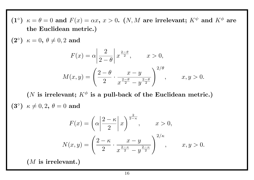**(1**°)  $\kappa = \theta = 0$  and  $F(x) = \alpha x, x > 0$ . (*N, M* are irrelevant;  $K^{\psi}$  and  $K^{\phi}$  are **the Euclidean metric.)**  $(2^{\circ})$   $\kappa = 0, \ \theta \neq 0, 2 \ \textbf{and}$  $F(x) = \alpha$  $\begin{array}{c} \hline \end{array}$ ¯ ¯  $\overline{\phantom{a}}$ 2  $2 - \theta$  $\begin{array}{c} \hline \end{array}$ ¯ ¯  $\vert$  $x^{\frac{2-\theta}{2}}, \quad x > 0,$  $M(x,y) = \left( \right)$  $2 - \theta$ 2 *· x − y*  $x^{\frac{2-\theta}{2}}-y^{\frac{2-\theta}{2}}$ 2  $\sqrt{\frac{2}{\theta}}$ *,*  $x, y > 0$ .

(*N* is irrelevant;  $K^{\phi}$  is a pull-back of the Euclidean metric.)  $(3°)$   $\kappa \neq 0,2, \theta = 0 \text{ and}$ 

$$
F(x) = \left(\alpha \left| \frac{2-\kappa}{2} \right| x\right)^{\frac{2}{2-\kappa}}, \qquad x > 0,
$$
  

$$
N(x, y) = \left(\frac{2-\kappa}{2} \cdot \frac{x-y}{x^{\frac{2-\kappa}{2}} - y^{\frac{2-\kappa}{2}}}\right)^{2/\kappa}, \qquad x, y > 0.
$$

**(***M* **is irrelevant.)**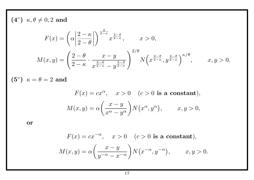$(4^\circ)$   $\kappa, \theta \neq 0,2$  and

$$
F(x) = \left(\alpha \left| \frac{2-\kappa}{2-\theta} \right| \right)^{\frac{2}{2-\kappa}} x^{\frac{2-\theta}{2-\kappa}}, \qquad x > 0,
$$
  

$$
M(x, y) = \left(\frac{2-\theta}{2-\kappa} \cdot \frac{x-y}{x^{\frac{2-\theta}{2-\kappa}} - y^{\frac{2-\theta}{2-\kappa}}}\right)^{2/\theta} N\left(x^{\frac{2-\theta}{2-\kappa}}, y^{\frac{2-\theta}{2-\kappa}}\right)^{\kappa/\theta}, \qquad x, y > 0.
$$

 $(5^{\circ})$   $\kappa = \theta = 2$  and

$$
F(x) = cx^{\alpha}, \quad x > 0 \quad (c > 0 \text{ is a constant}),
$$

$$
M(x, y) = \alpha \left(\frac{x - y}{x^{\alpha} - y^{\alpha}}\right) N(x^{\alpha}, y^{\alpha}), \qquad x, y > 0,
$$

**or**

$$
F(x) = cx^{-\alpha}, \quad x > 0 \quad (c > 0 \text{ is a constant}),
$$

$$
M(x, y) = \alpha \left(\frac{x - y}{y^{-\alpha} - x^{-\alpha}}\right) N\left(x^{-\alpha}, y^{-\alpha}\right), \qquad x, y > 0.
$$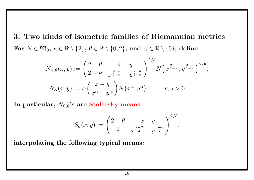# **3. Two kinds of isometric families of Riemannian metrics** For  $N \in \mathfrak{M}_0$ ,  $\kappa \in \mathbb{R} \setminus \{2\}$ ,  $\theta \in \mathbb{R} \setminus \{0,2\}$ , and  $\alpha \in \mathbb{R} \setminus \{0\}$ , define

$$
N_{\kappa,\theta}(x,y) := \left(\frac{2-\theta}{2-\kappa} \cdot \frac{x-y}{x^{\frac{2-\theta}{2-\kappa}}-y^{\frac{2-\theta}{2-\kappa}}}\right)^{2/\theta} N\left(x^{\frac{2-\theta}{2-\kappa}},y^{\frac{2-\theta}{2-\kappa}}\right)^{\kappa/\theta},
$$
  

$$
N_{\alpha}(x,y) := \alpha\left(\frac{x-y}{x^{\alpha}-y^{\alpha}}\right) N(x^{\alpha},y^{\alpha}), \qquad x, y > 0.
$$

**In particular,** *N*0*,θ***'s are Stolarsky means**

$$
S_{\theta}(x,y) := \left(\frac{2-\theta}{2} \cdot \frac{x-y}{x^{\frac{2-\theta}{2}} - y^{\frac{2-\theta}{2}}}\right)^{2/\theta},
$$

**interpolating the following typical means:**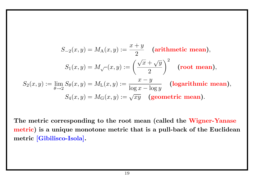$$
S_{-2}(x, y) = M_{A}(x, y) := \frac{x + y}{2}
$$
 (arithmetic mean),  
\n
$$
S_{1}(x, y) = M_{\sqrt{-}}(x, y) := \left(\frac{\sqrt{x} + \sqrt{y}}{2}\right)^{2}
$$
 (root mean),  
\n
$$
S_{2}(x, y) := \lim_{\theta \to 2} S_{\theta}(x, y) = M_{L}(x, y) := \frac{x - y}{\log x - \log y}
$$
 (logarithmic mean),  
\n
$$
S_{4}(x, y) = M_{G}(x, y) := \sqrt{xy}
$$
 (geometric mean).

**The metric corresponding to the root mean (called the Wigner-Yanase metric) is a unique monotone metric that is a pull-back of the Euclidean metric [Gibilisco-Isola].**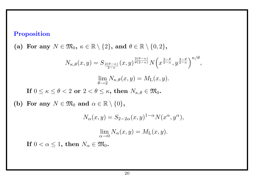## **Proposition**

**(b) For any** *N ∈* M<sup>0</sup>

(a) For any  $N \in \mathfrak{M}_0$ ,  $\kappa \in \mathbb{R} \setminus \{2\}$ , and  $\theta \in \mathbb{R} \setminus \{0,2\}$ ,

$$
N_{\kappa,\theta}(x,y) = S_{\frac{2(\theta-\kappa)}{2-\kappa}}(x,y)^{\frac{2(\theta-\kappa)}{\theta(2-\kappa)}} N\left(x^{\frac{2-\theta}{2-\kappa}},y^{\frac{2-\theta}{2-\kappa}}\right)^{\kappa/\theta},
$$
  
\n
$$
\lim_{\theta \to 2} N_{\kappa,\theta}(x,y) = M_{\mathcal{L}}(x,y).
$$
  
\nIf  $0 \le \kappa \le \theta < 2$  or  $2 < \theta \le \kappa$ , then  $N_{\kappa,\theta} \in \mathfrak{M}_0$ .  
\nFor any  $N \in \mathfrak{M}_0$  and  $\alpha \in \mathbb{R} \setminus \{0\},$   
\n
$$
N_{\alpha}(x,y) = S_{2-2\alpha}(x,y)^{1-\alpha} N(x^{\alpha},y^{\alpha}),
$$
  
\n
$$
\lim_{\alpha \to 0} N_{\alpha}(x,y) = M_{\mathcal{L}}(x,y).
$$
  
\nIf  $0 < \alpha \le 1$ , then  $N_{\alpha} \in \mathfrak{M}_0$ .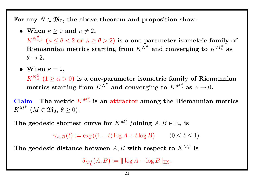For any  $N \in \mathfrak{M}_0$ , the above theorem and proposition show:

- **When**  $\kappa \geq 0$  **and**  $\kappa \neq 2$ ,  $K^{N_{\kappa,\theta}^{\theta}}$   $(\kappa \leq \theta < 2 \textbf{ or } \kappa \geq \theta > 2)$  is a one-parameter isometric family of  $\mathbf{R}$ iemannian metrics starting from  $K^{N^{\kappa}}$  and converging to  $K^{M^2_\mathrm{L}}$  as  $\theta \rightarrow 2$ .
- When  $\kappa = 2$ ,  $K^{N^2_{\alpha}}$   $(1 \geq \alpha > 0)$  is a one-parameter isometric family of Riemannian  $\mathbf{m}$  etrics starting from  $K^{N^2}$  and converging to  $K^{M^2_\mathrm{L}}$  as  $\alpha \to 0$ .

**Claim** The metric  $K^{M_L^2}$  is an attractor among the Riemannian metrics  $K^{M^{\theta}}$   $(M \in \mathfrak{M}_{0}, \ \theta \geq 0).$ 

The geodesic shortest curve for  $K^{M^2_\mathrm{L}}$  joining  $A, B \in \mathbb{P}_n$  is

 $\gamma_{A,B}(t) := \exp((1-t)\log A + t\log B)$  (0 ≤ *t* ≤ 1)*.* 

The geodesic distance between  $A, B$  with respect to  $K^{M_L^2}$  is

 $\delta_{M^2_{\rm L}}(A,B) := \|\log A - \log B\|_{\rm HS}.$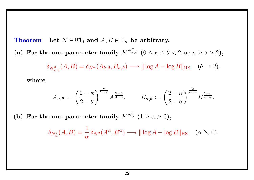**Theorem** Let  $N \in \mathfrak{M}_0$  and  $A, B \in \mathbb{P}_n$  be arbitrary.

(a) For the one-parameter family  $K^{N_{\kappa,\theta}^{\theta}}$  ( $0 \leq \kappa \leq \theta < 2$  or  $\kappa \geq \theta > 2$ ),

$$
\delta_{N^{\theta}_{\kappa,\theta}}(A,B) = \delta_{N^{\kappa}}(A_{k,\theta}, B_{\kappa,\theta}) \longrightarrow ||\log A - \log B||_{\text{HS}} \quad (\theta \to 2),
$$

**where**

$$
A_{\kappa,\theta} := \left(\frac{2-\kappa}{2-\theta}\right)^{\frac{2}{2-\kappa}} A^{\frac{2-\theta}{2-\kappa}}, \qquad B_{\kappa,\theta} := \left(\frac{2-\kappa}{2-\theta}\right)^{\frac{2}{2-\kappa}} B^{\frac{2-\theta}{2-\kappa}}.
$$

(b) For the one-parameter family  $K^{N^2_{\alpha}}$  ( $1 \ge \alpha > 0$ ),

$$
\delta_{N^2_{\alpha}}(A,B) = \frac{1}{\alpha} \delta_{N^2}(A^{\alpha}, B^{\alpha}) \longrightarrow ||\log A - \log B||_{\text{HS}} \quad (\alpha \searrow 0).
$$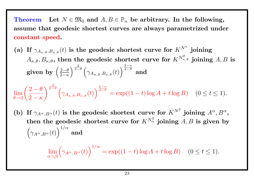**Theorem** Let  $N \in \mathfrak{M}_0$  and  $A, B \in \mathbb{P}_n$  be arbitrary. In the following, **assume that geodesic shortest curves are always parametrized under constant speed.**

(a) If  $\gamma_{A_{\kappa,\theta},B_{\kappa,\theta}}(t)$  is the geodesic shortest curve for  $K^{N^{\kappa}}$  joining  $A_{\kappa,\theta}, B_{\kappa,\theta},$  then the geodesic shortest curve for  $K^{N_{\kappa,\theta}^{\theta}}$  joining  $A, B$  is given by  $\left(\frac{2-\theta}{2-\kappa}\right)$ 2*−κ*  $\sqrt{\frac{2}{2-1}}$ 2*−θ* (  $\gamma_{A_{\boldsymbol{\kappa},\boldsymbol{\theta}},B_{\boldsymbol{\kappa},\boldsymbol{\theta}}}(t)$  $\sqrt{\frac{2-\kappa}{2-\theta}}$ 2*−θ* **and**

$$
\lim_{\theta \to 2} \left( \frac{2 - \theta}{2 - \kappa} \right)^{\frac{2}{2 - \theta}} \left( \gamma_{A_{\kappa,\theta},B_{\kappa,\theta}}(t) \right)^{\frac{2 - \kappa}{2 - \theta}} = \exp((1 - t) \log A + t \log B) \quad (0 \le t \le 1).
$$

(b) If  $\gamma_{A^{\alpha},B^{\alpha}}(t)$  is the geodesic shortest curve for  $K^{N^2}$  joining  $A^{\alpha},B^{\alpha}$ , then the geodesic shortest curve for  $K^{N^2_{\alpha}}$  joining  $A, B$  is given by  $\sqrt{ }$ *γAα,B<sup>α</sup>* (*t*)  $\sqrt{1/\alpha}$ **and**

$$
\lim_{\alpha \searrow 0} (\gamma_{A^{\alpha}, B^{\alpha}}(t))^{1/\alpha} = \exp((1-t)\log A + t \log B) \quad (0 \le t \le 1).
$$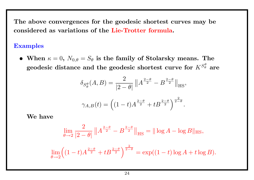**The above convergences for the geodesic shortest curves may be considered as variations of the Lie-Trotter formula.**

### **Examples**

• When  $\kappa = 0$ ,  $N_{0,\theta} = S_{\theta}$  is the family of Stolarsky means. The  $\bold{g}$ eodesic distance and the  $\bold{g}$ eodesic shortest curve for  $K^{S^{\theta}_{\theta}}$  are

$$
\delta_{S^{\theta}_{\theta}}(A,B) = \frac{2}{|2-\theta|} ||A^{\frac{2-\theta}{2}} - B^{\frac{2-\theta}{2}}||_{\text{HS}},
$$

$$
\gamma_{A,B}(t) = \left( (1-t)A^{\frac{2-\theta}{2}} + tB^{\frac{2-\theta}{2}} \right)^{\frac{2}{2-\theta}}
$$

*.*

**We have**

$$
\lim_{\theta \to 2} \frac{2}{|2 - \theta|} \|A^{\frac{2 - \theta}{2}} - B^{\frac{2 - \theta}{2}}\|_{\text{HS}} = \|\log A - \log B\|_{\text{HS}},
$$

$$
\lim_{\theta \to 2} \left( (1-t)A^{\frac{2-\theta}{2}} + tB^{\frac{2-\theta}{2}} \right)^{\frac{2}{2-\theta}} = \exp((1-t)\log A + t\log B).
$$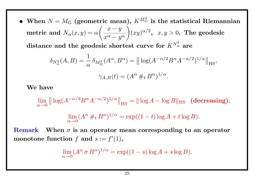• When  $N = M_G$  (geometric mean),  $K^{M_G^2}$  is the statistical Riemannian  $\textbf{metric} \textbf{ and } N_{\alpha}(x,y)=\alpha$ ( *x − y*  $x^{\alpha} - y^{\alpha}$  $\sum_{i=1}^{n}$  $(xy)^{\alpha/2}$ ,  $x, y > 0$ . The geodesic

 ${\bf d}$  istance and the geodesic shortest curve for  $K^{N^2_{\alpha}}$  are

$$
\delta_{N^2_{\alpha}}(A, B) = \frac{1}{\alpha} \delta_{M^2_{\alpha}}(A^{\alpha}, B^{\alpha}) = ||\log(A^{-\alpha/2} B^{\alpha} A^{-\alpha/2})^{1/\alpha}||_{\text{HS}},
$$

$$
\gamma_{A, B}(t) = (A^{\alpha} \#_t B^{\alpha})^{1/\alpha}.
$$

**We have**

lim *α→*0  $\|\log(A^{-\alpha/2}B^{\alpha}A^{-\alpha/2})^{1/\alpha}\|$  $\|\mathbf{H}_{\text{HS}} = \|\log A - \log B\|_{\text{HS}}$  (decreasing)*,* lim *α→*0  $(A^{\alpha} \#_t B^{\alpha})^{1/\alpha} = \exp((1-t)\log A + t\log B).$ 

**Remark When** *σ* **is an operator mean corresponding to an operator** monotone function  $f$  and  $s := f'(1)$ ,

$$
\lim_{\alpha \to 0} (A^{\alpha} \sigma B^{\alpha})^{1/\alpha} = \exp((1 - s) \log A + s \log B).
$$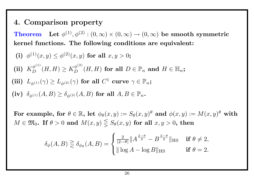## **4. Comparison property**

 $\textbf{Theorem}\quad \textbf{Let}\,\, \phi^{(1)}, \phi^{(2)}: (0, \infty) \times (0, \infty) \rightarrow (0, \infty) \,\, \textbf{be smooth symmetric}$ **kernel functions. The following conditions are equivalent:**

\n- (i) 
$$
\phi^{(1)}(x, y) \leq \phi^{(2)}(x, y)
$$
 for all  $x, y > 0$ ;
\n- (ii)  $K_D^{\phi^{(1)}}(H, H) \geq K_D^{\phi^{(2)}}(H, H)$  for all  $D \in \mathbb{P}_n$  and  $H \in \mathbb{H}_n$ ;
\n- (iii)  $L_{\phi^{(1)}}(\gamma) \geq L_{\phi^{(2)}}(\gamma)$  for all  $C^1$  curve  $\gamma \in \mathbb{P}_n$ ;
\n- (iv)  $\delta_{\phi^{(1)}}(A, B) \geq \delta_{\phi^{(2)}}(A, B)$  for all  $A, B \in \mathbb{P}_n$ .
\n

 $\textbf{For example, for } \theta \in \mathbb{R}, \text{ let } \phi_\theta(x,y) := S_\theta(x,y)^\theta \textbf{ and } \phi(x,y) := M(x,y)^\theta \textbf{ with }$  $M \in \mathfrak{M}_0$ . If  $\theta > 0$  and  $M(x, y) \leq S_{\theta}(x, y)$  for all  $x, y > 0$ , then

$$
\delta_{\phi}(A,B) \geq \delta_{\phi_{\theta}}(A,B) = \begin{cases} \frac{2}{|2-\theta|} \| A^{\frac{2-\theta}{2}} - B^{\frac{2-\theta}{2}} \|_{\text{HS}} & \text{if } \theta \neq 2, \\ \| \log A - \log B \|_{\text{HS}} & \text{if } \theta = 2. \end{cases}
$$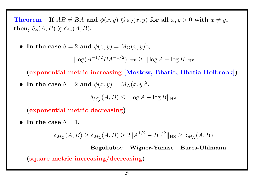**Theorem If**  $AB \neq BA$  and  $\phi(x, y) \leq \phi_{\theta}(x, y)$  for all  $x, y > 0$  with  $x \neq y$ ,  $\textbf{then, } \delta_\phi(A,B) \gtrless \delta_{\phi_\theta}(A,B)$ .

• In the case 
$$
\theta = 2
$$
 and  $\phi(x, y) = M_G(x, y)^2$ ,

*∥* log(*A −*1*/*2 *BA−*1*/*<sup>2</sup> )*∥*HS *≥ ∥* log *A −* log *B∥*HS

**(exponential metric increasing [Mostow, Bhatia, Bhatia-Holbrook])**

• In the case  $\theta = 2$  and  $\phi(x, y) = M_A(x, y)^2$ ,

 $\delta_{M^2_\mathbf{A}}(A, B) \leq \|\log A - \log B\|_{\text{HS}}$ 

**(exponential metric decreasing)**

• In the case  $\theta = 1$ ,

$$
\delta_{M_G}(A, B) \ge \delta_{M_L}(A, B) \ge 2||A^{1/2} - B^{1/2}||_{\text{HS}} \ge \delta_{M_A}(A, B)
$$

**Bogoliubov Wigner-Yanase Bures-Uhlmann (square metric increasing/decreasing)**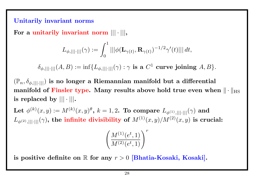### **Unitarily invariant norms**

**For a unitarily invariant norm** *||| · |||***,**

$$
L_{\phi,|||\cdot|||}(\gamma):=\int_0^1|||\phi(\mathbf{L}_{\gamma(t)},\mathbf{R}_{\gamma(t)})^{-1/2}\gamma'(t)|||\,dt,
$$

 $\delta_{\phi,|||\cdot|||}(A,B):=\inf\{L_{\phi,|||\cdot|||}(\gamma):\gamma\text{ is a }C^1\text{ curve joining }A,B\}.$ 

 $(\mathbb{P}_n, \delta_{\phi,||.||.||})$  is no longer a Riemannian manifold but a differential **manifold of Finsler type. Many results above hold true even when**  $\| \cdot \|_{\text{HS}}$ **is replaced by** *||| · |||***.**

 $\mathbf{Let} \,\, \phi^{(k)}(x,y) := M^{(k)}(x,y)^{\theta}, \, k = 1,2. \,\, \textbf{To compare} \,\, L_{\phi^{(1)},|||\cdot|||}(\gamma) \,\, \textbf{and}$  $L_{\phi^{(2)},|||\cdot|||}(\gamma)$ , the infinite divisibility of  $M^{(1)}(x,y)/M^{(2)}(x,y)$  is crucial:

$$
\left(\frac{M^{(1)}(e^t,1)}{M^{(2)}(e^t,1)}\right)^r
$$

is positive definite on  $\mathbb R$  for any  $r > 0$  [Bhatia-Kosaki, Kosaki].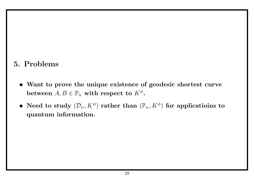## **5. Problems**

- *•* **Want to prove the unique existence of geodesic shortest curve**  $\mathbf{b}$ etween  $A, B \in \mathbb{P}_n$  with respect to  $K^{\phi}$ .
- **Need to study**  $(\mathcal{D}_n, K^{\phi})$  rather than  $(\mathbb{P}_n, K^{\phi})$  for applicatioins to **quantum information.**